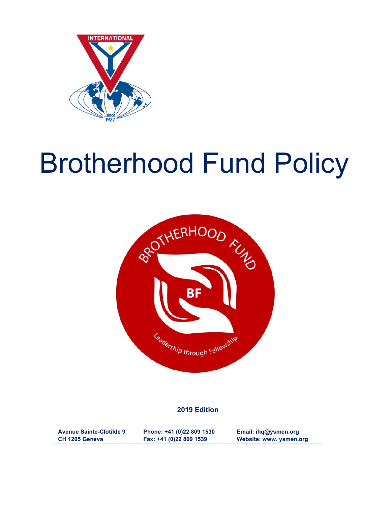

# Brotherhood Fund Policy



#### **2019 Edition**

**Avenue Sainte-Clotilde 9 CH 1205 Geneva**

**Phone: +41 (0)22 809 1530 Fax: +41 (0)22 809 1539**

**Email: ihq@ysmen.org Website: www. ysmen.org**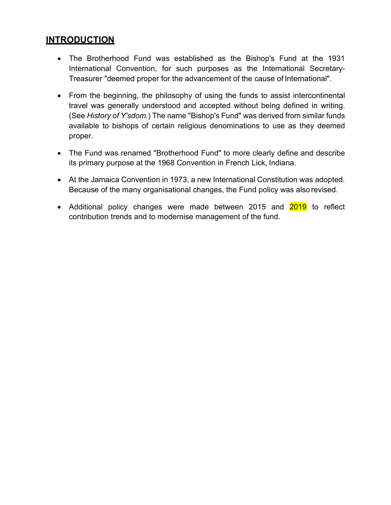## **INTRODUCTION**

- The Brotherhood Fund was established as the Bishop's Fund at the 1931 International Convention, for such purposes as the International Secretary-Treasurer "deemed proper for the advancement of the cause of International".
- From the beginning, the philosophy of using the funds to assist intercontinental travel was generally understood and accepted without being defined in writing. (See *History of Y'sdom*.) The name "Bishop's Fund" was derived from similar funds available to bishops of certain religious denominations to use as they deemed proper.
- The Fund was renamed "Brotherhood Fund" to more clearly define and describe its primary purpose at the 1968 Convention in French Lick, Indiana.
- At the Jamaica Convention in 1973, a new International Constitution was adopted. Because of the many organisational changes, the Fund policy was also revised.
- Additional policy changes were made between 2015 and 2019 to reflect contribution trends and to modernise management of the fund.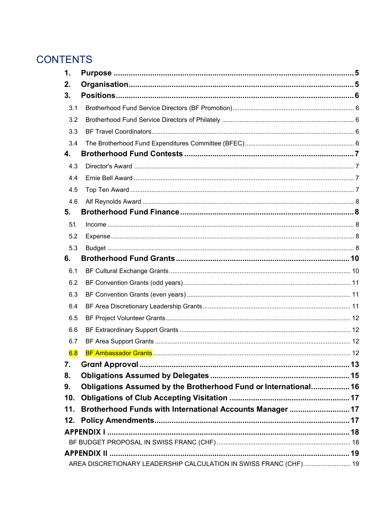## **CONTENTS**

| 1.                                                                |                                                                 |    |  |  |
|-------------------------------------------------------------------|-----------------------------------------------------------------|----|--|--|
| 2.                                                                |                                                                 |    |  |  |
| 3.                                                                |                                                                 |    |  |  |
| 3.1                                                               |                                                                 |    |  |  |
| 3.2                                                               |                                                                 |    |  |  |
| 3.3                                                               |                                                                 |    |  |  |
| 3.4                                                               |                                                                 |    |  |  |
| 4.                                                                |                                                                 |    |  |  |
| 4.3                                                               |                                                                 |    |  |  |
| 4.4                                                               |                                                                 |    |  |  |
| 4.5                                                               |                                                                 |    |  |  |
| 4.6                                                               |                                                                 |    |  |  |
| 5.                                                                |                                                                 |    |  |  |
| 5.1.                                                              |                                                                 |    |  |  |
| 5.2                                                               |                                                                 |    |  |  |
| 5.3                                                               |                                                                 |    |  |  |
| 6.                                                                |                                                                 |    |  |  |
| 6.1                                                               |                                                                 |    |  |  |
| 6.2                                                               |                                                                 |    |  |  |
| 6.3                                                               |                                                                 |    |  |  |
| 6.4                                                               |                                                                 |    |  |  |
| 6.5                                                               |                                                                 |    |  |  |
| 6.6                                                               |                                                                 |    |  |  |
| 6.7                                                               |                                                                 |    |  |  |
| 6.8                                                               |                                                                 | 12 |  |  |
| 7.                                                                |                                                                 |    |  |  |
| 8.                                                                |                                                                 |    |  |  |
| 9.                                                                | Obligations Assumed by the Brotherhood Fund or International 16 |    |  |  |
| 10.                                                               |                                                                 |    |  |  |
| 11.                                                               | Brotherhood Funds with International Accounts Manager  17       |    |  |  |
| 12.                                                               |                                                                 |    |  |  |
|                                                                   |                                                                 |    |  |  |
|                                                                   |                                                                 |    |  |  |
|                                                                   |                                                                 |    |  |  |
| AREA DISCRETIONARY LEADERSHIP CALCULATION IN SWISS FRANC (CHF) 19 |                                                                 |    |  |  |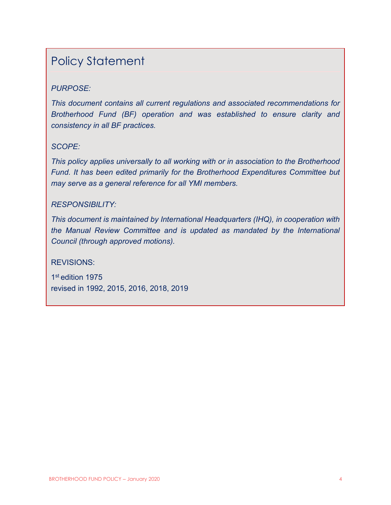## Policy Statement

### *PURPOSE:*

*This document contains all current regulations and associated recommendations for Brotherhood Fund (BF) operation and was established to ensure clarity and consistency in all BF practices.*

#### *SCOPE:*

*This policy applies universally to all working with or in association to the Brotherhood Fund. It has been edited primarily for the Brotherhood Expenditures Committee but may serve as a general reference for all YMI members.*

#### *RESPONSIBILITY:*

*This document is maintained by International Headquarters (IHQ), in cooperation with the Manual Review Committee and is updated as mandated by the International Council (through approved motions).*

#### REVISIONS:

1st edition 1975 revised in 1992, 2015, 2016, 2018, 2019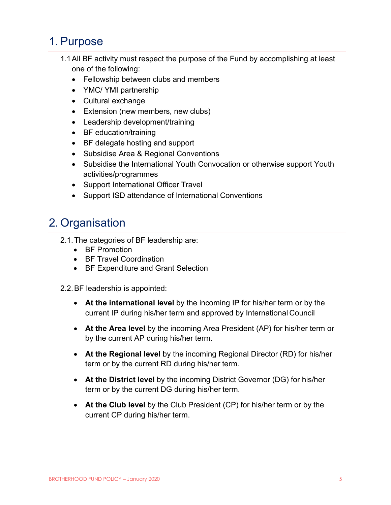## <span id="page-5-0"></span>1. Purpose

- 1.1All BF activity must respect the purpose of the Fund by accomplishing at least one of the following:
	- Fellowship between clubs and members
	- YMC/ YMI partnership
	- Cultural exchange
	- Extension (new members, new clubs)
	- Leadership development/training
	- BF education/training
	- BF delegate hosting and support
	- Subsidise Area & Regional Conventions
	- Subsidise the International Youth Convocation or otherwise support Youth activities/programmes
	- Support International Officer Travel
	- Support ISD attendance of International Conventions

## <span id="page-5-1"></span>2. Organisation

- 2.1.The categories of BF leadership are:
	- BF Promotion
	- BF Travel Coordination
	- BF Expenditure and Grant Selection
- 2.2.BF leadership is appointed:
	- **At the international level** by the incoming IP for his/her term or by the current IP during his/her term and approved by International Council
	- **At the Area level** by the incoming Area President (AP) for his/her term or by the current AP during his/her term.
	- **At the Regional level** by the incoming Regional Director (RD) for his/her term or by the current RD during his/her term.
	- **At the District level** by the incoming District Governor (DG) for his/her term or by the current DG during his/her term.
	- **At the Club level** by the Club President (CP) for his/her term or by the current CP during his/her term.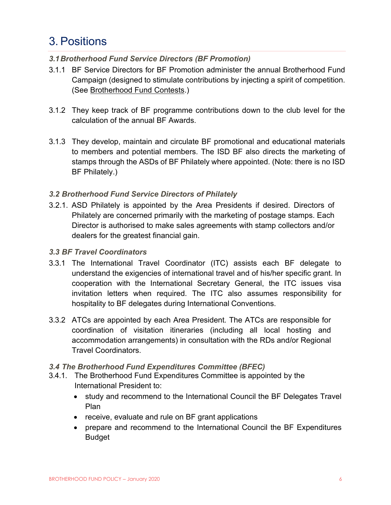## <span id="page-6-0"></span>3. Positions

#### <span id="page-6-1"></span>*3.1Brotherhood Fund Service Directors (BF Promotion)*

- 3.1.1 BF Service Directors for BF Promotion administer the annual Brotherhood Fund Campaign (designed to stimulate contributions by injecting a spirit of competition. (See Brotherhood Fund Contests.)
- 3.1.2 They keep track of BF programme contributions down to the club level for the calculation of the annual BF Awards.
- 3.1.3 They develop, maintain and circulate BF promotional and educational materials to members and potential members. The ISD BF also directs the marketing of stamps through the ASDs of BF Philately where appointed. (Note: there is no ISD BF Philately.)

#### <span id="page-6-2"></span>*3.2 Brotherhood Fund Service Directors of Philately*

3.2.1. ASD Philately is appointed by the Area Presidents if desired. Directors of Philately are concerned primarily with the marketing of postage stamps. Each Director is authorised to make sales agreements with stamp collectors and/or dealers for the greatest financial gain.

#### <span id="page-6-3"></span>*3.3 BF Travel Coordinators*

- 3.3.1 The International Travel Coordinator (ITC) assists each BF delegate to understand the exigencies of international travel and of his/her specific grant. In cooperation with the International Secretary General, the ITC issues visa invitation letters when required. The ITC also assumes responsibility for hospitality to BF delegates during International Conventions.
- 3.3.2 ATCs are appointed by each Area President. The ATCs are responsible for coordination of visitation itineraries (including all local hosting and accommodation arrangements) in consultation with the RDs and/or Regional Travel Coordinators.

#### <span id="page-6-4"></span>*3.4 The Brotherhood Fund Expenditures Committee (BFEC)*

- 3.4.1. The Brotherhood Fund Expenditures Committee is appointed by the International President to:
	- study and recommend to the International Council the BF Delegates Travel Plan
	- receive, evaluate and rule on BF grant applications
	- prepare and recommend to the International Council the BF Expenditures Budget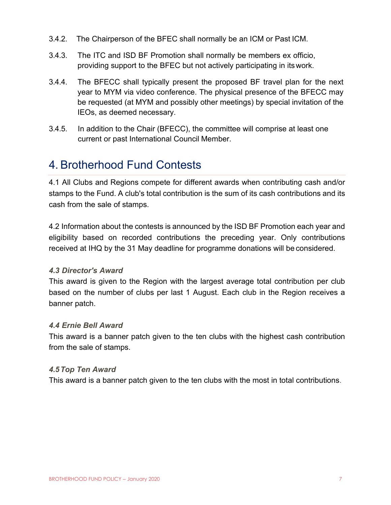- 3.4.2. The Chairperson of the BFEC shall normally be an ICM or Past ICM.
- 3.4.3. The ITC and ISD BF Promotion shall normally be members ex officio, providing support to the BFEC but not actively participating in itswork.
- 3.4.4. The BFECC shall typically present the proposed BF travel plan for the next year to MYM via video conference. The physical presence of the BFECC may be requested (at MYM and possibly other meetings) by special invitation of the IEOs, as deemed necessary.
- 3.4.5. In addition to the Chair (BFECC), the committee will comprise at least one current or past International Council Member.

## <span id="page-7-0"></span>4. Brotherhood Fund Contests

4.1 All Clubs and Regions compete for different awards when contributing cash and/or stamps to the Fund. A club's total contribution is the sum of its cash contributions and its cash from the sale of stamps.

4.2 Information about the contests is announced by the ISD BF Promotion each year and eligibility based on recorded contributions the preceding year. Only contributions received at IHQ by the 31 May deadline for programme donations will be considered.

#### <span id="page-7-1"></span>*4.3 Director's Award*

This award is given to the Region with the largest average total contribution per club based on the number of clubs per last 1 August. Each club in the Region receives a banner patch.

#### <span id="page-7-2"></span>*4.4 Ernie Bell Award*

This award is a banner patch given to the ten clubs with the highest cash contribution from the sale of stamps.

#### <span id="page-7-3"></span>*4.5Top Ten Award*

This award is a banner patch given to the ten clubs with the most in total contributions.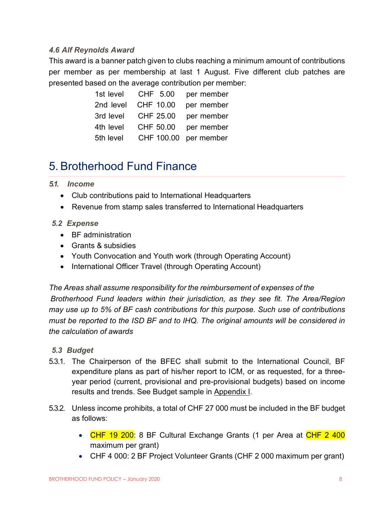#### <span id="page-8-0"></span>*4.6 Alf Reynolds Award*

This award is a banner patch given to clubs reaching a minimum amount of contributions per member as per membership at last 1 August. Five different club patches are presented based on the average contribution per member:

|           | 1st level CHF 5.00 per member  |                       |
|-----------|--------------------------------|-----------------------|
|           | 2nd level CHF 10.00 per member |                       |
|           | 3rd level CHF 25.00            | per member            |
| 4th level |                                | CHF 50.00 per member  |
| 5th level |                                | CHF 100.00 per member |

## <span id="page-8-1"></span>5. Brotherhood Fund Finance

#### <span id="page-8-2"></span>*5.1. Income*

- Club contributions paid to International Headquarters
- Revenue from stamp sales transferred to International Headquarters

#### <span id="page-8-3"></span>*5.2 Expense*

- BF administration
- Grants & subsidies
- Youth Convocation and Youth work (through Operating Account)
- International Officer Travel (through Operating Account)

*The Areas shall assume responsibility for the reimbursement of expenses of the Brotherhood Fund leaders within their jurisdiction, as they see fit. The Area/Region may use up to 5% of BF cash contributions for this purpose. Such use of contributions must be reported to the ISD BF and to IHQ. The original amounts will be considered in the calculation of awards*

#### <span id="page-8-4"></span>*5.3 Budget*

- 5.3.1. The Chairperson of the BFEC shall submit to the International Council, BF expenditure plans as part of his/her report to ICM, or as requested, for a threeyear period (current, provisional and pre-provisional budgets) based on income results and trends. See Budget sample in [Appendix](#page-18-0) I.
- 5.3.2. Unless income prohibits, a total of CHF 27 000 must be included in the BF budget as follows:
	- CHF 19 200: 8 BF Cultural Exchange Grants (1 per Area at CHF 2 400 maximum per grant)
	- CHF 4 000: 2 BF Project Volunteer Grants (CHF 2 000 maximum per grant)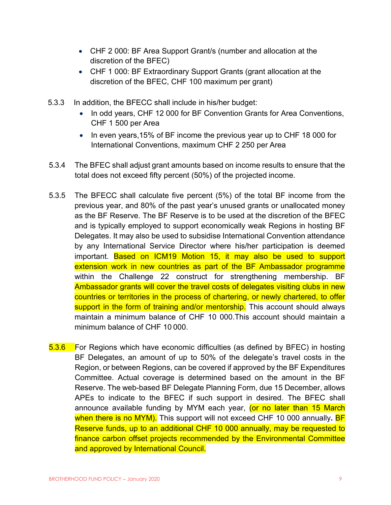- CHF 2 000: BF Area Support Grant/s (number and allocation at the discretion of the BFEC)
- CHF 1 000: BF Extraordinary Support Grants (grant allocation at the discretion of the BFEC, CHF 100 maximum per grant)
- 5.3.3 In addition, the BFECC shall include in his/her budget:
	- In odd years, CHF 12 000 for BF Convention Grants for Area Conventions, CHF 1 500 per Area
	- In even years,15% of BF income the previous year up to CHF 18 000 for International Conventions, maximum CHF 2 250 per Area
- 5.3.4 The BFEC shall adjust grant amounts based on income results to ensure that the total does not exceed fifty percent (50%) of the projected income.
- 5.3.5 The BFECC shall calculate five percent (5%) of the total BF income from the previous year, and 80% of the past year's unused grants or unallocated money as the BF Reserve. The BF Reserve is to be used at the discretion of the BFEC and is typically employed to support economically weak Regions in hosting BF Delegates. It may also be used to subsidise International Convention attendance by any International Service Director where his/her participation is deemed important. Based on ICM19 Motion 15, it may also be used to support extension work in new countries as part of the BF Ambassador programme within the Challenge 22 construct for strengthening membership. BF Ambassador grants will cover the travel costs of delegates visiting clubs in new countries or territories in the process of chartering, or newly chartered, to offer support in the form of training and/or mentorship. This account should always maintain a minimum balance of CHF 10 000.This account should maintain a minimum balance of CHF 10 000.
- 5.3.6 For Regions which have economic difficulties (as defined by BFEC) in hosting BF Delegates, an amount of up to 50% of the delegate's travel costs in the Region, or between Regions, can be covered if approved by the BF Expenditures Committee. Actual coverage is determined based on the amount in the BF Reserve. The web-based BF Delegate Planning Form, due 15 December, allows APEs to indicate to the BFEC if such support in desired. The BFEC shall announce available funding by MYM each year, (or no later than 15 March when there is no MYM). This support will not exceed CHF 10 000 annually**.** BF Reserve funds, up to an additional CHF 10 000 annually, may be requested to finance carbon offset projects recommended by the Environmental Committee and approved by International Council.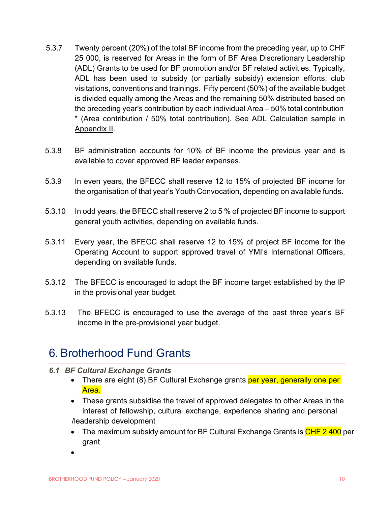- 5.3.7 Twenty percent (20%) of the total BF income from the preceding year, up to CHF 25 000, is reserved for Areas in the form of BF Area Discretionary Leadership (ADL) Grants to be used for BF promotion and/or BF related activities. Typically, ADL has been used to subsidy (or partially subsidy) extension efforts, club visitations, conventions and trainings. Fifty percent (50%) of the available budget is divided equally among the Areas and the remaining 50% distributed based on the preceding year's contribution by each individual Area – 50% total contribution \* (Area contribution / 50% total contribution). See ADL Calculation sample in Appendix II.
- 5.3.8 BF administration accounts for 10% of BF income the previous year and is available to cover approved BF leader expenses.
- 5.3.9 In even years, the BFECC shall reserve 12 to 15% of projected BF income for the organisation of that year's Youth Convocation, depending on available funds.
- 5.3.10 In odd years, the BFECC shall reserve 2 to 5 % of projected BF income to support general youth activities, depending on available funds.
- 5.3.11 Every year, the BFECC shall reserve 12 to 15% of project BF income for the Operating Account to support approved travel of YMI's International Officers, depending on available funds.
- 5.3.12 The BFECC is encouraged to adopt the BF income target established by the IP in the provisional year budget.
- 5.3.13 The BFECC is encouraged to use the average of the past three year's BF income in the pre-provisional year budget.

## <span id="page-10-0"></span>6. Brotherhood Fund Grants

- <span id="page-10-1"></span>*6.1 BF Cultural Exchange Grants*
	- There are eight (8) BF Cultural Exchange grants per year, generally one per Area.
	- These grants subsidise the travel of approved delegates to other Areas in the interest of fellowship, cultural exchange, experience sharing and personal /leadership development
	- The maximum subsidy amount for BF Cultural Exchange Grants is CHF 2400 per grant
	- •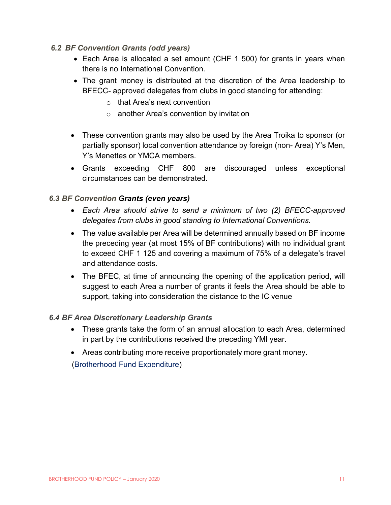#### <span id="page-11-0"></span>*6.2 BF Convention Grants (odd years)*

- Each Area is allocated a set amount (CHF 1 500) for grants in years when there is no International Convention.
- The grant money is distributed at the discretion of the Area leadership to BFECC- approved delegates from clubs in good standing for attending:
	- o that Area's next convention
	- o another Area's convention by invitation
- These convention grants may also be used by the Area Troika to sponsor (or partially sponsor) local convention attendance by foreign (non- Area) Y's Men, Y's Menettes or YMCA members.
- Grants exceeding CHF 800 are discouraged unless exceptional circumstances can be demonstrated.

#### <span id="page-11-1"></span>*6.3 BF Convention Grants (even years)*

- *Each Area should strive to send a minimum of two (2) BFECC-approved delegates from clubs in good standing to International Conventions.*
- The value available per Area will be determined annually based on BF income the preceding year (at most 15% of BF contributions) with no individual grant to exceed CHF 1 125 and covering a maximum of 75% of a delegate's travel and attendance costs.
- The BFEC, at time of announcing the opening of the application period, will suggest to each Area a number of grants it feels the Area should be able to support, taking into consideration the distance to the IC venue

#### <span id="page-11-2"></span>*6.4 BF Area Discretionary Leadership Grants*

- These grants take the form of an annual allocation to each Area, determined in part by the contributions received the preceding YMI year.
- Areas contributing more receive proportionately more grant money.

(Brotherhood Fund Expenditure)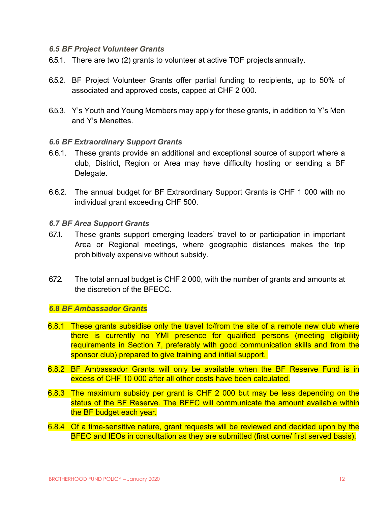#### <span id="page-12-0"></span>*6.5 BF Project Volunteer Grants*

- 6.5.1. There are two (2) grants to volunteer at active TOF projects annually.
- 6.5.2. BF Project Volunteer Grants offer partial funding to recipients, up to 50% of associated and approved costs, capped at CHF 2 000.
- 6.5.3. Y's Youth and Young Members may apply for these grants, in addition to Y's Men and Y's Menettes.

#### <span id="page-12-1"></span>*6.6 BF Extraordinary Support Grants*

- 6.6.1. These grants provide an additional and exceptional source of support where a club, District, Region or Area may have difficulty hosting or sending a BF Delegate.
- 6.6.2. The annual budget for BF Extraordinary Support Grants is CHF 1 000 with no individual grant exceeding CHF 500.

#### <span id="page-12-2"></span>*6.7 BF Area Support Grants*

- 67.1. These grants support emerging leaders' travel to or participation in important Area or Regional meetings, where geographic distances makes the trip prohibitively expensive without subsidy.
- 6.72 The total annual budget is CHF 2 000, with the number of grants and amounts at the discretion of the BFECC.

#### <span id="page-12-3"></span>*6.8 BF Ambassador Grants*

- 6.8.1 These grants subsidise only the travel to/from the site of a remote new club where there is currently no YMI presence for qualified persons (meeting eligibility requirements in Section 7, preferably with good communication skills and from the sponsor club) prepared to give training and initial support.
- 6.8.2 BF Ambassador Grants will only be available when the BF Reserve Fund is in excess of CHF 10 000 after all other costs have been calculated.
- 6.8.3 The maximum subsidy per grant is CHF 2 000 but may be less depending on the status of the BF Reserve. The BFEC will communicate the amount available within the BF budget each year.
- 6.8.4 Of a time-sensitive nature, grant requests will be reviewed and decided upon by the BFEC and IEOs in consultation as they are submitted (first come/ first served basis).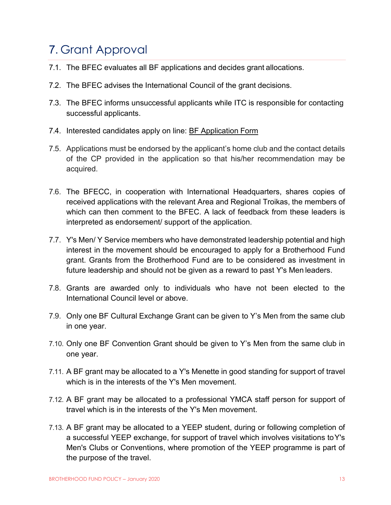# <span id="page-13-0"></span>7. Grant Approval

- 7.1. The BFEC evaluates all BF applications and decides grant allocations.
- 7.2. The BFEC advises the International Council of the grant decisions.
- 7.3. The BFEC informs unsuccessful applicants while ITC is responsible for contacting successful applicants.
- 7.4. Interested candidates apply on line: BF Application Form
- 7.5. Applications must be endorsed by the applicant's home club and the contact details of the CP provided in the application so that his/her recommendation may be acquired.
- 7.6. The BFECC, in cooperation with International Headquarters, shares copies of received applications with the relevant Area and Regional Troikas, the members of which can then comment to the BFEC. A lack of feedback from these leaders is interpreted as endorsement/ support of the application.
- 7.7. Y's Men/ Y Service members who have demonstrated leadership potential and high interest in the movement should be encouraged to apply for a Brotherhood Fund grant. Grants from the Brotherhood Fund are to be considered as investment in future leadership and should not be given as a reward to past Y's Men leaders.
- 7.8. Grants are awarded only to individuals who have not been elected to the International Council level or above.
- 7.9. Only one BF Cultural Exchange Grant can be given to Y's Men from the same club in one year.
- 7.10. Only one BF Convention Grant should be given to Y's Men from the same club in one year.
- 7.11. A BF grant may be allocated to a Y's Menette in good standing for support of travel which is in the interests of the Y's Men movement.
- 7.12. A BF grant may be allocated to a professional YMCA staff person for support of travel which is in the interests of the Y's Men movement.
- 7.13. A BF grant may be allocated to a YEEP student, during or following completion of a successful YEEP exchange, for support of travel which involves visitations toY's Men's Clubs or Conventions, where promotion of the YEEP programme is part of the purpose of the travel.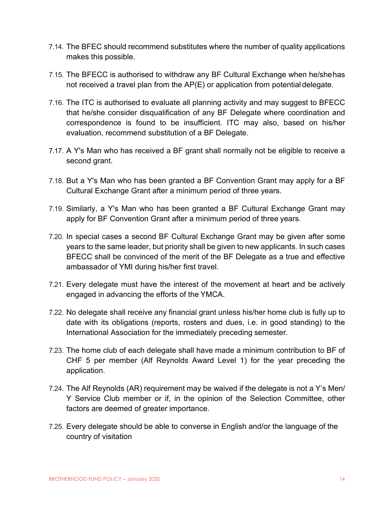- 7.14. The BFEC should recommend substitutes where the number of quality applications makes this possible.
- 7.15. The BFECC is authorised to withdraw any BF Cultural Exchange when he/shehas not received a travel plan from the AP(E) or application from potential delegate.
- 7.16. The ITC is authorised to evaluate all planning activity and may suggest to BFECC that he/she consider disqualification of any BF Delegate where coordination and correspondence is found to be insufficient. ITC may also, based on his/her evaluation, recommend substitution of a BF Delegate.
- 7.17. A Y's Man who has received a BF grant shall normally not be eligible to receive a second grant.
- 7.18. But a Y's Man who has been granted a BF Convention Grant may apply for a BF Cultural Exchange Grant after a minimum period of three years.
- 7.19. Similarly, a Y's Man who has been granted a BF Cultural Exchange Grant may apply for BF Convention Grant after a minimum period of three years.
- 7.20. In special cases a second BF Cultural Exchange Grant may be given after some years to the same leader, but priority shall be given to new applicants. In such cases BFECC shall be convinced of the merit of the BF Delegate as a true and effective ambassador of YMI during his/her first travel.
- 7.21. Every delegate must have the interest of the movement at heart and be actively engaged in advancing the efforts of the YMCA.
- 7.22. No delegate shall receive any financial grant unless his/her home club is fully up to date with its obligations (reports, rosters and dues, i.e. in good standing) to the International Association for the immediately preceding semester.
- 7.23. The home club of each delegate shall have made a minimum contribution to BF of CHF 5 per member (Alf Reynolds Award Level 1) for the year preceding the application.
- 7.24. The Alf Reynolds (AR) requirement may be waived if the delegate is not a Y's Men/ Y Service Club member or if, in the opinion of the Selection Committee, other factors are deemed of greater importance.
- 7.25. Every delegate should be able to converse in English and/or the language of the country of visitation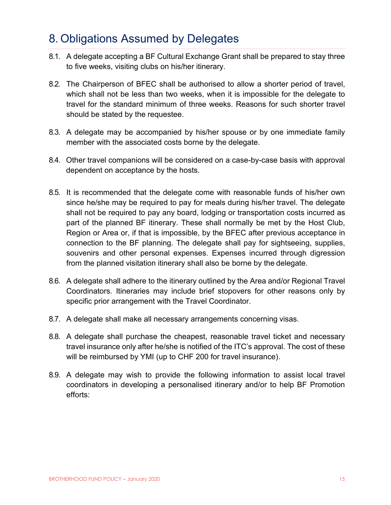## <span id="page-15-0"></span>8. Obligations Assumed by Delegates

- 8.1. A delegate accepting a BF Cultural Exchange Grant shall be prepared to stay three to five weeks, visiting clubs on his/her itinerary.
- 8.2. The Chairperson of BFEC shall be authorised to allow a shorter period of travel, which shall not be less than two weeks, when it is impossible for the delegate to travel for the standard minimum of three weeks. Reasons for such shorter travel should be stated by the requestee.
- 8.3. A delegate may be accompanied by his/her spouse or by one immediate family member with the associated costs borne by the delegate.
- 8.4. Other travel companions will be considered on a case-by-case basis with approval dependent on acceptance by the hosts.
- 8.5. It is recommended that the delegate come with reasonable funds of his/her own since he/she may be required to pay for meals during his/her travel. The delegate shall not be required to pay any board, lodging or transportation costs incurred as part of the planned BF itinerary. These shall normally be met by the Host Club, Region or Area or, if that is impossible, by the BFEC after previous acceptance in connection to the BF planning. The delegate shall pay for sightseeing, supplies, souvenirs and other personal expenses. Expenses incurred through digression from the planned visitation itinerary shall also be borne by the delegate.
- 8.6. A delegate shall adhere to the itinerary outlined by the Area and/or Regional Travel Coordinators. Itineraries may include brief stopovers for other reasons only by specific prior arrangement with the Travel Coordinator.
- 8.7. A delegate shall make all necessary arrangements concerning visas.
- 8.8. A delegate shall purchase the cheapest, reasonable travel ticket and necessary travel insurance only after he/she is notified of the ITC's approval. The cost of these will be reimbursed by YMI (up to CHF 200 for travel insurance).
- 8.9. A delegate may wish to provide the following information to assist local travel coordinators in developing a personalised itinerary and/or to help BF Promotion efforts: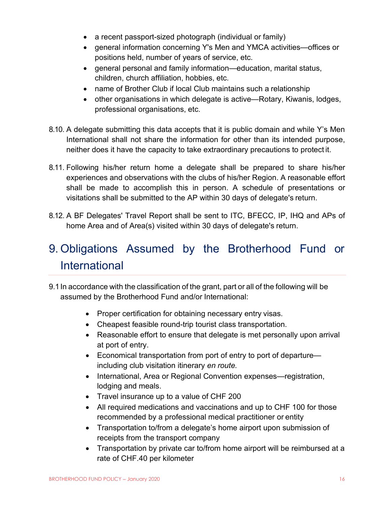- a recent passport-sized photograph (individual or family)
- general information concerning Y's Men and YMCA activities—offices or positions held, number of years of service, etc.
- general personal and family information—education, marital status, children, church affiliation, hobbies, etc.
- name of Brother Club if local Club maintains such a relationship
- other organisations in which delegate is active—Rotary, Kiwanis, lodges, professional organisations, etc.
- 8.10. A delegate submitting this data accepts that it is public domain and while Y's Men International shall not share the information for other than its intended purpose, neither does it have the capacity to take extraordinary precautions to protect it.
- 8.11. Following his/her return home a delegate shall be prepared to share his/her experiences and observations with the clubs of his/her Region. A reasonable effort shall be made to accomplish this in person. A schedule of presentations or visitations shall be submitted to the AP within 30 days of delegate's return.
- 8.12. A BF Delegates' Travel Report shall be sent to ITC, BFECC, IP, IHQ and APs of home Area and of Area(s) visited within 30 days of delegate's return.

# <span id="page-16-0"></span>9. Obligations Assumed by the Brotherhood Fund or **International**

- 9.1In accordance with the classification of the grant, part or all of the following will be assumed by the Brotherhood Fund and/or International:
	- Proper certification for obtaining necessary entry visas.
	- Cheapest feasible round-trip tourist class transportation.
	- Reasonable effort to ensure that delegate is met personally upon arrival at port of entry.
	- Economical transportation from port of entry to port of departure including club visitation itinerary *en route.*
	- International, Area or Regional Convention expenses—registration, lodging and meals.
	- Travel insurance up to a value of CHF 200
	- All required medications and vaccinations and up to CHF 100 for those recommended by a professional medical practitioner or entity
	- Transportation to/from a delegate's home airport upon submission of receipts from the transport company
	- Transportation by private car to/from home airport will be reimbursed at a rate of CHF.40 per kilometer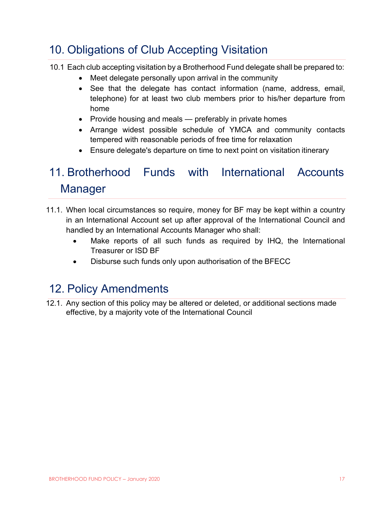## <span id="page-17-0"></span>10. Obligations of Club Accepting Visitation

10.1 Each club accepting visitation by a Brotherhood Fund delegate shall be prepared to:

- Meet delegate personally upon arrival in the community
- See that the delegate has contact information (name, address, email, telephone) for at least two club members prior to his/her departure from home
- Provide housing and meals preferably in private homes
- Arrange widest possible schedule of YMCA and community contacts tempered with reasonable periods of free time for relaxation
- Ensure delegate's departure on time to next point on visitation itinerary

# <span id="page-17-1"></span>11. Brotherhood Funds with International Accounts Manager

- 11.1. When local circumstances so require, money for BF may be kept within a country in an International Account set up after approval of the International Council and handled by an International Accounts Manager who shall:
	- Make reports of all such funds as required by IHQ, the International Treasurer or ISD BF
	- Disburse such funds only upon authorisation of the BFECC

## <span id="page-17-2"></span>12. Policy Amendments

12.1. Any section of this policy may be altered or deleted, or additional sections made effective, by a majority vote of the International Council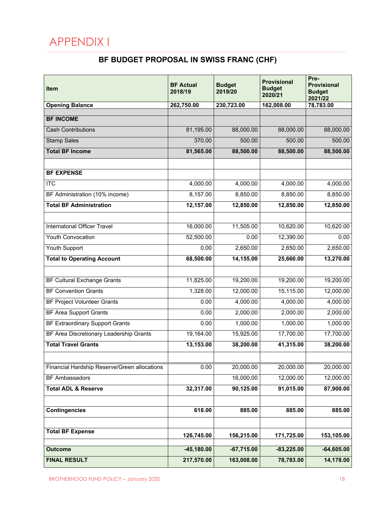# <span id="page-18-1"></span><span id="page-18-0"></span>APPENDIX I

## **BF BUDGET PROPOSAL IN SWISS FRANC (CHF)**

| Item                                         | <b>BF Actual</b><br>2018/19 | <b>Budget</b><br>2019/20 | <b>Provisional</b><br><b>Budget</b><br>2020/21 | Pre-<br><b>Provisional</b><br><b>Budget</b><br>2021/22 |
|----------------------------------------------|-----------------------------|--------------------------|------------------------------------------------|--------------------------------------------------------|
| <b>Opening Balance</b>                       | 262,750.00                  | 230,723.00               | 162,008.00                                     | 78,783.00                                              |
| <b>BF INCOME</b>                             |                             |                          |                                                |                                                        |
| <b>Cash Contributions</b>                    | 81,195.00                   | 88,000.00                | 88,000.00                                      | 88,000.00                                              |
| <b>Stamp Sales</b>                           | 370.00                      | 500.00                   | 500.00                                         | 500.00                                                 |
| <b>Total BF Income</b>                       | 81,565.00                   | 88,500.00                | 88,500.00                                      | 88,500.00                                              |
|                                              |                             |                          |                                                |                                                        |
| <b>BF EXPENSE</b>                            |                             |                          |                                                |                                                        |
| $\overline{\text{ITC}}$                      | 4,000.00                    | 4,000.00                 | 4,000.00                                       | 4,000.00                                               |
| BF Administration (10% income)               | 8,157.00                    | 8,850.00                 | 8,850.00                                       | 8,850.00                                               |
| <b>Total BF Administration</b>               | 12,157.00                   | 12,850.00                | 12,850.00                                      | 12,850.00                                              |
|                                              |                             |                          |                                                |                                                        |
| <b>Internatonal Officer Travel</b>           | 16,000.00                   | 11,505.00                | 10,620.00                                      | 10,620.00                                              |
| <b>Youth Convocation</b>                     | 52,500.00                   | 0.00                     | 12,390.00                                      | 0.00                                                   |
| Youth Support                                | 0.00                        | 2,650.00                 | 2,650.00                                       | 2,650.00                                               |
| <b>Total to Operating Account</b>            | 68,500.00                   | 14,155.00                | 25,660.00                                      | 13,270.00                                              |
|                                              |                             |                          |                                                |                                                        |
| <b>BF Cultural Exchange Grants</b>           | 11,825.00                   | 19,200.00                | 19,200.00                                      | 19,200.00                                              |
| <b>BF Convention Grants</b>                  | 1,328.00                    | 12,000.00                | 15,115.00                                      | 12,000.00                                              |
| <b>BF Project Volunteer Grants</b>           | 0.00                        | 4,000.00                 | 4,000.00                                       | 4,000.00                                               |
| <b>BF Area Support Grants</b>                | 0.00                        | 2,000.00                 | 2,000.00                                       | 2,000.00                                               |
| <b>BF Extraordinary Support Grants</b>       | 0.00                        | 1,000.00                 | 1,000.00                                       | 1,000.00                                               |
| BF Area Discretionary Leadership Grants      | 19,164.00                   | 15,925.00                | 17,700.00                                      | 17,700.00                                              |
| <b>Total Travel Grants</b>                   | 13,153.00                   | 38,200.00                | 41,315.00                                      | 38,200.00                                              |
|                                              |                             |                          |                                                |                                                        |
| Financial Hardship Reserve/Green allocations | 0.00                        | 20,000.00                | 20,000.00                                      | 20,000.00                                              |
| <b>BF Ambassadors</b>                        |                             | 16,000.00                | 12,000.00                                      | 12,000.00                                              |
| <b>Total ADL &amp; Reserve</b>               | 32,317.00                   | 90,125.00                | 91,015.00                                      | 87,900.00                                              |
|                                              |                             |                          |                                                |                                                        |
| <b>Contingencies</b>                         | 618.00                      | 885.00                   | 885.00                                         | 885.00                                                 |
|                                              |                             |                          |                                                |                                                        |
| <b>Total BF Expense</b>                      | 126,745.00                  | 156,215.00               | 171,725.00                                     | 153,105.00                                             |
| <b>Outcome</b>                               | $-45,180.00$                | $-67,715.00$             | $-83,225.00$                                   | $-64,605.00$                                           |
| <b>FINAL RESULT</b>                          | 217,570.00                  | 163,008.00               | 78,783.00                                      | 14,178.00                                              |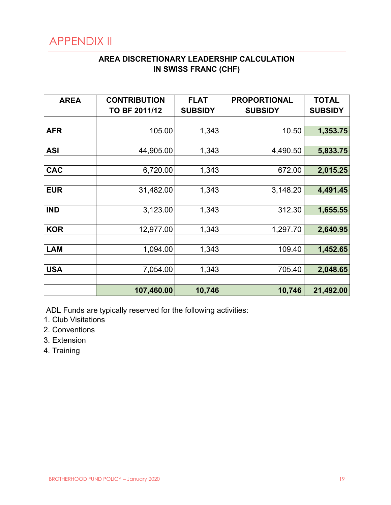## <span id="page-19-1"></span><span id="page-19-0"></span>APPENDIX II

## **AREA DISCRETIONARY LEADERSHIP CALCULATION IN SWISS FRANC (CHF)**

| <b>AREA</b> | <b>CONTRIBUTION</b> | <b>FLAT</b>    | <b>PROPORTIONAL</b> | <b>TOTAL</b>   |
|-------------|---------------------|----------------|---------------------|----------------|
|             | TO BF 2011/12       | <b>SUBSIDY</b> | <b>SUBSIDY</b>      | <b>SUBSIDY</b> |
|             |                     |                |                     |                |
| <b>AFR</b>  | 105.00              | 1,343          | 10.50               | 1,353.75       |
|             |                     |                |                     |                |
| <b>ASI</b>  | 44,905.00           | 1,343          | 4,490.50            | 5,833.75       |
|             |                     |                |                     |                |
| <b>CAC</b>  | 6,720.00            | 1,343          | 672.00              | 2,015.25       |
|             |                     |                |                     |                |
| <b>EUR</b>  | 31,482.00           | 1,343          | 3,148.20            | 4,491.45       |
|             |                     |                |                     |                |
| <b>IND</b>  | 3,123.00            | 1,343          | 312.30              | 1,655.55       |
|             |                     |                |                     |                |
| <b>KOR</b>  | 12,977.00           | 1,343          | 1,297.70            | 2,640.95       |
|             |                     |                |                     |                |
| <b>LAM</b>  | 1,094.00            | 1,343          | 109.40              | 1,452.65       |
|             |                     |                |                     |                |
| <b>USA</b>  | 7,054.00            | 1,343          | 705.40              | 2,048.65       |
|             |                     |                |                     |                |
|             | 107,460.00          | 10,746         | 10,746              | 21,492.00      |

ADL Funds are typically reserved for the following activities:

- 1. Club Visitations
- 2. Conventions
- 3. Extension
- 4. Training